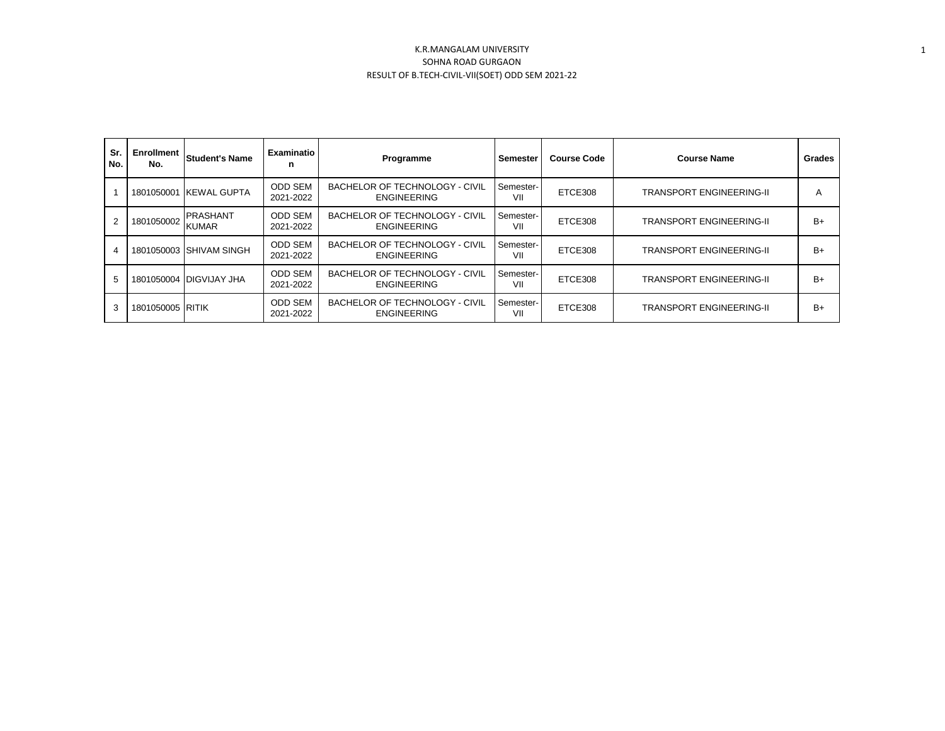| Sr.<br>No. | Enrollment<br>No. | <b>Student's Name</b>           | Examinatio<br>n             | Programme                                                   | Semester         | <b>Course Code</b> | <b>Course Name</b>              | Grades |
|------------|-------------------|---------------------------------|-----------------------------|-------------------------------------------------------------|------------------|--------------------|---------------------------------|--------|
|            |                   | 1801050001 IKEWAL GUPTA         | ODD SEM<br>2021-2022        | <b>BACHELOR OF TECHNOLOGY - CIVIL</b><br><b>ENGINEERING</b> | Semester-<br>VII | ETCE308            | <b>TRANSPORT ENGINEERING-II</b> | A      |
| 2          | 1801050002        | <b>PRASHANT</b><br><b>KUMAR</b> | <b>ODD SEM</b><br>2021-2022 | <b>BACHELOR OF TECHNOLOGY - CIVIL</b><br><b>ENGINEERING</b> | Semester-<br>VII | ETCE308            | <b>TRANSPORT ENGINEERING-II</b> | $B+$   |
| 4          |                   | 1801050003 SHIVAM SINGH         | <b>ODD SEM</b><br>2021-2022 | <b>BACHELOR OF TECHNOLOGY - CIVIL</b><br><b>ENGINEERING</b> | Semester-<br>VII | ETCE308            | <b>TRANSPORT ENGINEERING-II</b> | $B+$   |
| 5          |                   | 1801050004 IDIGVIJAY JHA        | <b>ODD SEM</b><br>2021-2022 | <b>BACHELOR OF TECHNOLOGY - CIVIL</b><br><b>ENGINEERING</b> | Semester-<br>VII | ETCE308            | <b>TRANSPORT ENGINEERING-II</b> | $B+$   |
| 3          | 1801050005 RITIK  |                                 | <b>ODD SEM</b><br>2021-2022 | <b>BACHELOR OF TECHNOLOGY - CIVIL</b><br><b>ENGINEERING</b> | Semester-<br>VII | ETCE308            | <b>TRANSPORT ENGINEERING-II</b> | $B+$   |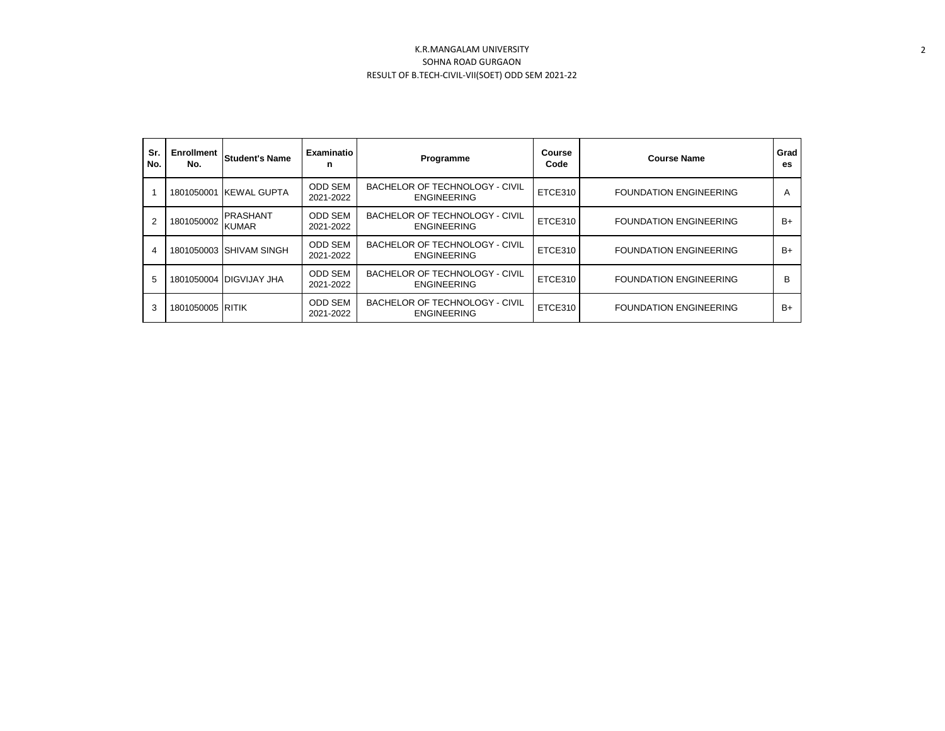| Sr.<br>No.     | <b>Enrollment</b><br>No. | Student's Name                  | Examinatio<br>n             | Programme                                                   | Course<br>Code | <b>Course Name</b>            | Grad<br>es |
|----------------|--------------------------|---------------------------------|-----------------------------|-------------------------------------------------------------|----------------|-------------------------------|------------|
|                |                          | 1801050001 KEWAL GUPTA          | <b>ODD SEM</b><br>2021-2022 | BACHELOR OF TECHNOLOGY - CIVIL<br><b>ENGINEERING</b>        | ETCE310        | <b>FOUNDATION ENGINEERING</b> | A          |
| $\overline{2}$ | 1801050002               | <b>PRASHANT</b><br><b>KUMAR</b> | <b>ODD SEM</b><br>2021-2022 | BACHELOR OF TECHNOLOGY - CIVIL<br><b>ENGINEERING</b>        | ETCE310        | <b>FOUNDATION ENGINEERING</b> | $B+$       |
| 4              |                          | 1801050003 SHIVAM SINGH         | <b>ODD SEM</b><br>2021-2022 | BACHELOR OF TECHNOLOGY - CIVIL<br><b>ENGINEERING</b>        | ETCE310        | <b>FOUNDATION ENGINEERING</b> | $B+$       |
| 5              |                          | 1801050004 DIGVIJAY JHA         | <b>ODD SEM</b><br>2021-2022 | BACHELOR OF TECHNOLOGY - CIVIL<br><b>ENGINEERING</b>        | ETCE310        | <b>FOUNDATION ENGINEERING</b> | B          |
| 3              | 1801050005 RITIK         |                                 | <b>ODD SEM</b><br>2021-2022 | <b>BACHELOR OF TECHNOLOGY - CIVIL</b><br><b>ENGINEERING</b> | ETCE310        | <b>FOUNDATION ENGINEERING</b> | $B+$       |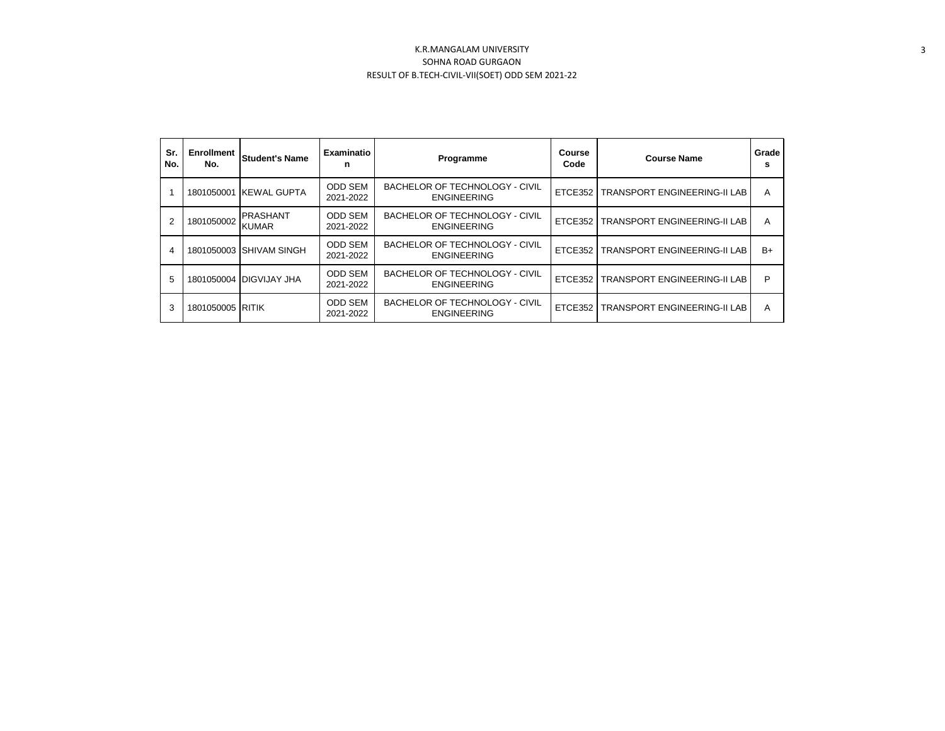| Sr.<br>No. | <b>Enrollment</b><br>No. | <b>Student's Name</b>           | Examinatio<br>n             | Programme                                                   | Course<br>Code | <b>Course Name</b>                     | Grade<br>s |
|------------|--------------------------|---------------------------------|-----------------------------|-------------------------------------------------------------|----------------|----------------------------------------|------------|
|            |                          | 1801050001 KEWAL GUPTA          | <b>ODD SEM</b><br>2021-2022 | <b>BACHELOR OF TECHNOLOGY - CIVIL</b><br><b>ENGINEERING</b> |                | ETCE352   TRANSPORT ENGINEERING-II LAB | A          |
| 2          | 1801050002               | <b>PRASHANT</b><br><b>KUMAR</b> | ODD SEM<br>2021-2022        | <b>BACHELOR OF TECHNOLOGY - CIVIL</b><br><b>ENGINEERING</b> |                | ETCE352   TRANSPORT ENGINEERING-II LAB | A          |
| 4          | 1801050003               | <b>ISHIVAM SINGH</b>            | <b>ODD SEM</b><br>2021-2022 | <b>BACHELOR OF TECHNOLOGY - CIVIL</b><br><b>ENGINEERING</b> | ETCE352        | <b>TRANSPORT ENGINEERING-II LAB</b>    | $B+$       |
| 5          |                          | 1801050004 DIGVIJAY JHA         | <b>ODD SEM</b><br>2021-2022 | <b>BACHELOR OF TECHNOLOGY - CIVIL</b><br><b>ENGINEERING</b> | ETCE352        | <b>TRANSPORT ENGINEERING-II LAB</b>    | P          |
| 3          | 1801050005 RITIK         |                                 | <b>ODD SEM</b><br>2021-2022 | <b>BACHELOR OF TECHNOLOGY - CIVIL</b><br><b>ENGINEERING</b> | ETCE352        | <b>TRANSPORT ENGINEERING-II LAB</b>    | A          |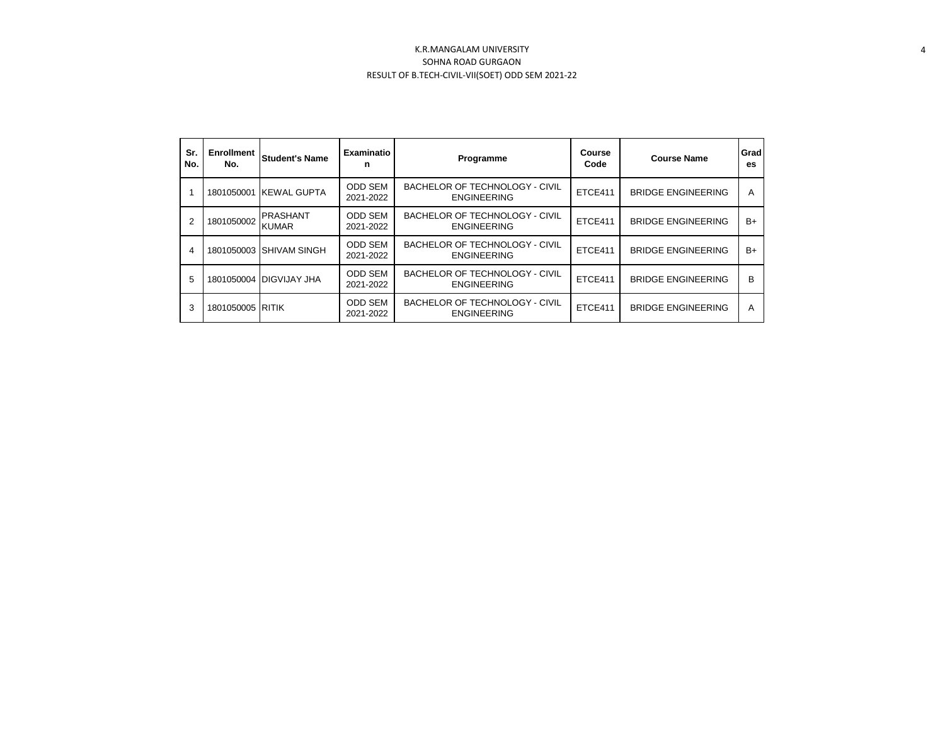| Sr.<br>No. | Enrollment<br>No. | <b>Student's Name</b>           | Examinatio<br>n             | Programme                                                   | Course<br>Code | <b>Course Name</b>        | Grad<br>es |
|------------|-------------------|---------------------------------|-----------------------------|-------------------------------------------------------------|----------------|---------------------------|------------|
|            |                   | 1801050001 KEWAL GUPTA          | <b>ODD SEM</b><br>2021-2022 | BACHELOR OF TECHNOLOGY - CIVIL<br><b>ENGINEERING</b>        | ETCE411        | <b>BRIDGE ENGINEERING</b> | A          |
| 2          | 1801050002        | <b>PRASHANT</b><br><b>KUMAR</b> | ODD SEM<br>2021-2022        | <b>BACHELOR OF TECHNOLOGY - CIVIL</b><br><b>ENGINEERING</b> | ETCE411        | <b>BRIDGE ENGINEERING</b> | B+         |
| 4          | 1801050003        | <b>SHIVAM SINGH</b>             | <b>ODD SEM</b><br>2021-2022 | <b>BACHELOR OF TECHNOLOGY - CIVIL</b><br><b>ENGINEERING</b> | ETCE411        | <b>BRIDGE ENGINEERING</b> | B+         |
| 5          |                   | 1801050004 DIGVIJAY JHA         | <b>ODD SEM</b><br>2021-2022 | BACHELOR OF TECHNOLOGY - CIVIL<br><b>ENGINEERING</b>        | ETCE411        | <b>BRIDGE ENGINEERING</b> | B          |
| 3          | 1801050005 RITIK  |                                 | <b>ODD SEM</b><br>2021-2022 | <b>BACHELOR OF TECHNOLOGY - CIVIL</b><br><b>ENGINEERING</b> | ETCE411        | <b>BRIDGE ENGINEERING</b> | A          |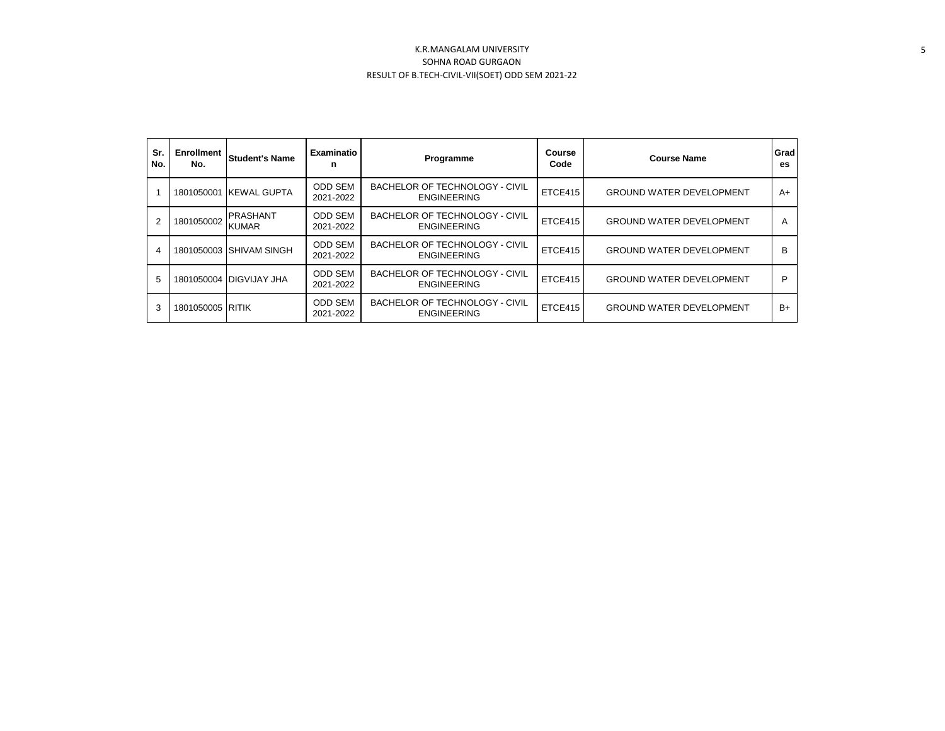| Sr.<br>No. | <b>Enrollment</b><br>No. | <b>Student's Name</b>           | Examinatio<br>n             | Programme                                                   | Course<br>Code | <b>Course Name</b>              | Grad<br>es. |
|------------|--------------------------|---------------------------------|-----------------------------|-------------------------------------------------------------|----------------|---------------------------------|-------------|
|            | 1801050001               | <b>KEWAL GUPTA</b>              | <b>ODD SEM</b><br>2021-2022 | <b>BACHELOR OF TECHNOLOGY - CIVIL</b><br><b>ENGINEERING</b> | ETCE415        | <b>GROUND WATER DEVELOPMENT</b> | A+          |
| 2          | 1801050002               | <b>PRASHANT</b><br><b>KUMAR</b> | <b>ODD SEM</b><br>2021-2022 | <b>BACHELOR OF TECHNOLOGY - CIVIL</b><br><b>ENGINEERING</b> | ETCE415        | <b>GROUND WATER DEVELOPMENT</b> | A           |
| 4          |                          | 1801050003 SHIVAM SINGH         | <b>ODD SEM</b><br>2021-2022 | <b>BACHELOR OF TECHNOLOGY - CIVIL</b><br><b>ENGINEERING</b> | ETCE415        | <b>GROUND WATER DEVELOPMENT</b> | в           |
| 5          |                          | 1801050004 DIGVIJAY JHA         | <b>ODD SEM</b><br>2021-2022 | <b>BACHELOR OF TECHNOLOGY - CIVIL</b><br><b>ENGINEERING</b> | ETCE415        | <b>GROUND WATER DEVELOPMENT</b> | P           |
| 3          | 1801050005 RITIK         |                                 | <b>ODD SEM</b><br>2021-2022 | <b>BACHELOR OF TECHNOLOGY - CIVIL</b><br><b>ENGINEERING</b> | ETCE415        | <b>GROUND WATER DEVELOPMENT</b> | B+          |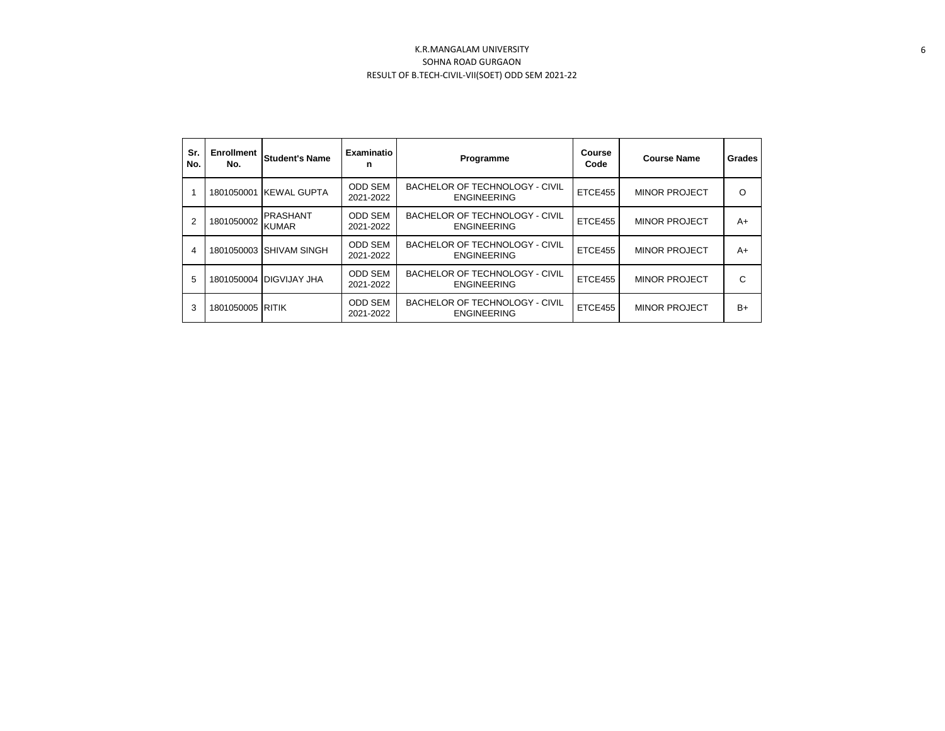| Sr.<br>No. | <b>Enrollment</b><br>No. | <b>Student's Name</b>           | <b>Examinatio</b><br>n      | Programme                                            | Course<br>Code | <b>Course Name</b>   | Grades |
|------------|--------------------------|---------------------------------|-----------------------------|------------------------------------------------------|----------------|----------------------|--------|
|            | 1801050001               | <b>IKEWAL GUPTA</b>             | <b>ODD SEM</b><br>2021-2022 | BACHELOR OF TECHNOLOGY - CIVIL<br><b>ENGINEERING</b> | ETCE455        | <b>MINOR PROJECT</b> | O      |
| 2          | 1801050002               | <b>PRASHANT</b><br><b>KUMAR</b> | <b>ODD SEM</b><br>2021-2022 | BACHELOR OF TECHNOLOGY - CIVIL<br><b>ENGINEERING</b> | ETCE455        | <b>MINOR PROJECT</b> | A+     |
| 4          | 1801050003               | <b>SHIVAM SINGH</b>             | <b>ODD SEM</b><br>2021-2022 | BACHELOR OF TECHNOLOGY - CIVIL<br><b>ENGINEERING</b> | ETCE455        | <b>MINOR PROJECT</b> | $A+$   |
| 5          |                          | 1801050004 DIGVIJAY JHA         | <b>ODD SEM</b><br>2021-2022 | BACHELOR OF TECHNOLOGY - CIVIL<br><b>ENGINEERING</b> | ETCE455        | <b>MINOR PROJECT</b> | C      |
| 3          | 1801050005 RITIK         |                                 | <b>ODD SEM</b><br>2021-2022 | BACHELOR OF TECHNOLOGY - CIVIL<br><b>ENGINEERING</b> | ETCE455        | <b>MINOR PROJECT</b> | $B+$   |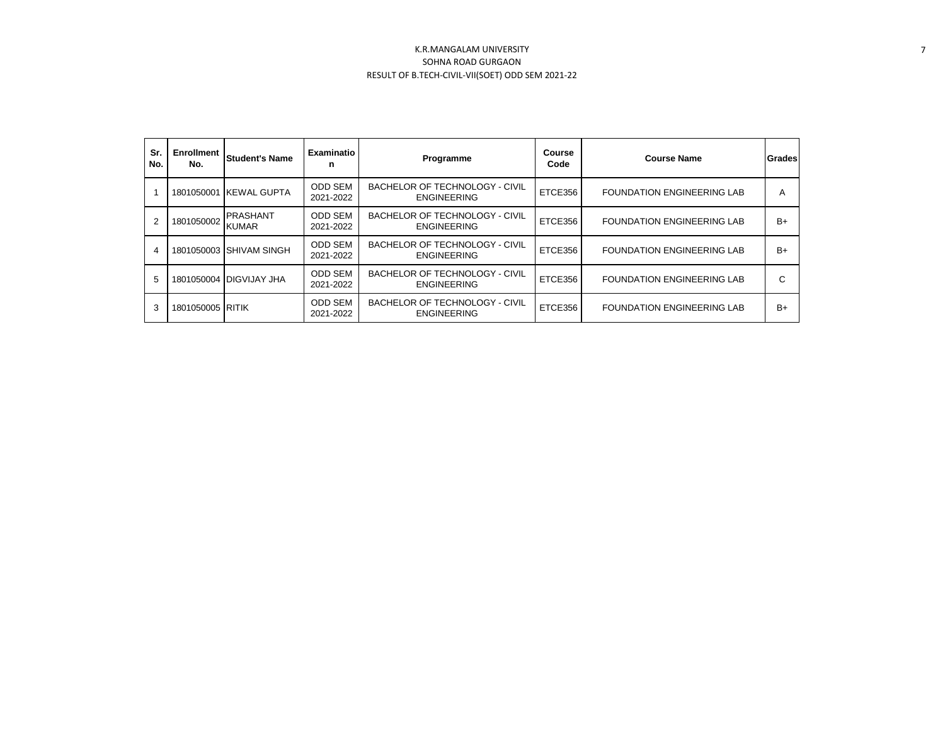| Sr.<br>No. | Enrollment<br>No. | <b>Student's Name</b>           | Examinatio<br>n             | Programme                                                   | Course<br>Code | <b>Course Name</b>                | Grades |
|------------|-------------------|---------------------------------|-----------------------------|-------------------------------------------------------------|----------------|-----------------------------------|--------|
|            |                   | 1801050001 KEWAL GUPTA          | ODD SEM<br>2021-2022        | <b>BACHELOR OF TECHNOLOGY - CIVIL</b><br><b>ENGINEERING</b> | ETCE356        | <b>FOUNDATION ENGINEERING LAB</b> | A      |
| 2          | 1801050002        | <b>PRASHANT</b><br><b>KUMAR</b> | <b>ODD SEM</b><br>2021-2022 | BACHELOR OF TECHNOLOGY - CIVIL<br><b>ENGINEERING</b>        | ETCE356        | <b>FOUNDATION ENGINEERING LAB</b> | $B+$   |
| 4          |                   | 1801050003 SHIVAM SINGH         | <b>ODD SEM</b><br>2021-2022 | BACHELOR OF TECHNOLOGY - CIVIL<br><b>ENGINEERING</b>        | ETCE356        | <b>FOUNDATION ENGINEERING LAB</b> | B+     |
| 5          |                   | 1801050004 DIGVIJAY JHA         | <b>ODD SEM</b><br>2021-2022 | BACHELOR OF TECHNOLOGY - CIVIL<br><b>ENGINEERING</b>        | ETCE356        | <b>FOUNDATION ENGINEERING LAB</b> | С      |
| 3          | 1801050005 RITIK  |                                 | <b>ODD SEM</b><br>2021-2022 | <b>BACHELOR OF TECHNOLOGY - CIVIL</b><br><b>ENGINEERING</b> | ETCE356        | <b>FOUNDATION ENGINEERING LAB</b> | $B+$   |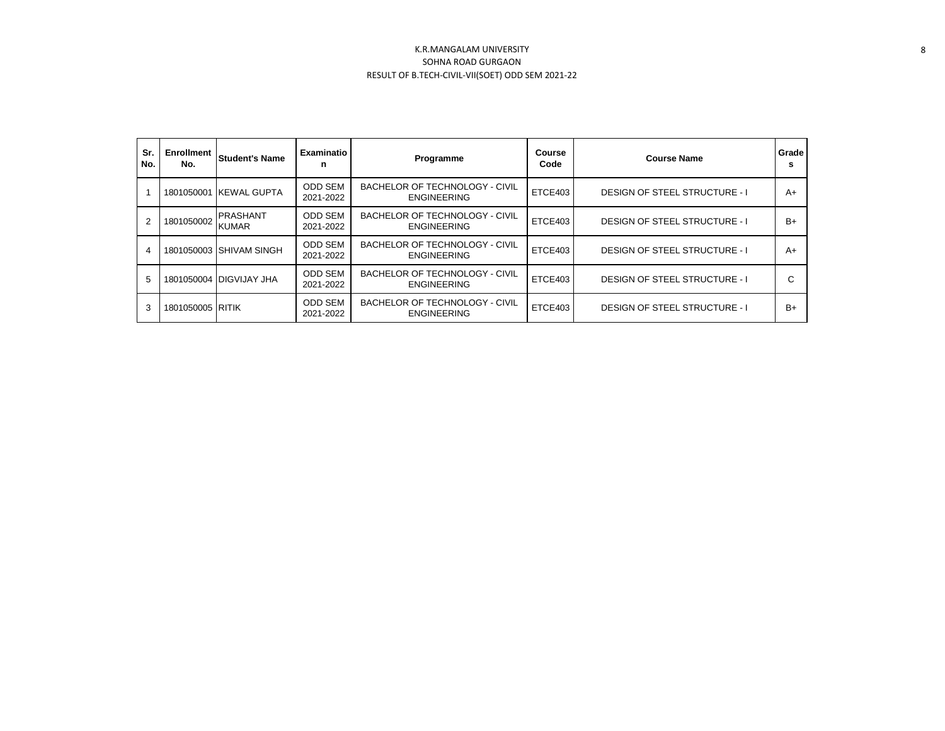| Sr.<br>No. | <b>Enrollment</b><br>No. | <b>Student's Name</b>           | Examinatio<br>n             | Programme                                                   | Course<br>Code | Grade<br><b>Course Name</b>          |      |
|------------|--------------------------|---------------------------------|-----------------------------|-------------------------------------------------------------|----------------|--------------------------------------|------|
|            |                          | 1801050001 KEWAL GUPTA          | <b>ODD SEM</b><br>2021-2022 | BACHELOR OF TECHNOLOGY - CIVIL<br><b>ENGINEERING</b>        | ETCE403        | <b>DESIGN OF STEEL STRUCTURE - I</b> | $A+$ |
| 2          | 1801050002               | <b>PRASHANT</b><br><b>KUMAR</b> | <b>ODD SEM</b><br>2021-2022 | BACHELOR OF TECHNOLOGY - CIVIL<br><b>ENGINEERING</b>        | ETCE403        | <b>DESIGN OF STEEL STRUCTURE - I</b> | B+   |
| 4          |                          | 1801050003 SHIVAM SINGH         | <b>ODD SEM</b><br>2021-2022 | BACHELOR OF TECHNOLOGY - CIVIL<br><b>ENGINEERING</b>        | ETCE403        | <b>DESIGN OF STEEL STRUCTURE - I</b> | $A+$ |
| 5          |                          | 1801050004 DIGVIJAY JHA         | <b>ODD SEM</b><br>2021-2022 | BACHELOR OF TECHNOLOGY - CIVIL<br><b>ENGINEERING</b>        | ETCE403        | <b>DESIGN OF STEEL STRUCTURE - I</b> | C    |
| 3          | 1801050005 RITIK         |                                 | <b>ODD SEM</b><br>2021-2022 | <b>BACHELOR OF TECHNOLOGY - CIVIL</b><br><b>ENGINEERING</b> | ETCE403        | <b>DESIGN OF STEEL STRUCTURE - I</b> | B+   |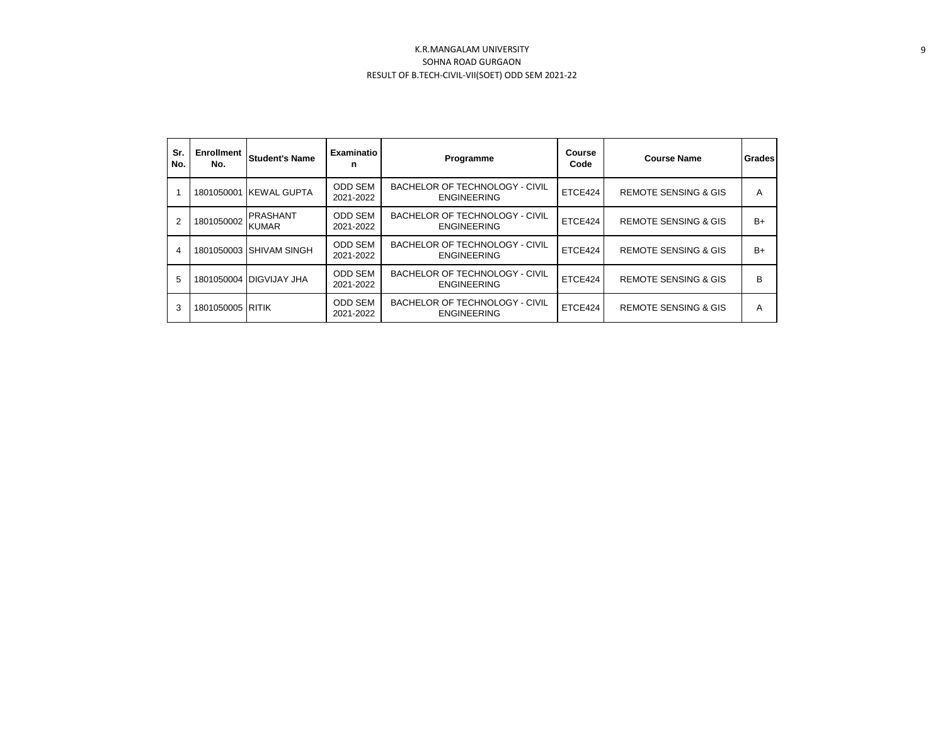| Sr.<br>No.     | <b>Enrollment</b><br>No. | <b>Student's Name</b>           | Examinatio<br>n             | Programme                                            | Course<br>Code | <b>Course Name</b>              | Grades |
|----------------|--------------------------|---------------------------------|-----------------------------|------------------------------------------------------|----------------|---------------------------------|--------|
|                |                          | 1801050001 KEWAL GUPTA          | <b>ODD SEM</b><br>2021-2022 | BACHELOR OF TECHNOLOGY - CIVIL<br><b>ENGINEERING</b> | ETCE424        | <b>REMOTE SENSING &amp; GIS</b> | A      |
| $\overline{2}$ | 1801050002               | <b>PRASHANT</b><br><b>KUMAR</b> | <b>ODD SEM</b><br>2021-2022 | BACHELOR OF TECHNOLOGY - CIVIL<br><b>ENGINEERING</b> | ETCE424        | <b>REMOTE SENSING &amp; GIS</b> | $B+$   |
| 4              |                          | 1801050003 SHIVAM SINGH         | <b>ODD SEM</b><br>2021-2022 | BACHELOR OF TECHNOLOGY - CIVIL<br><b>ENGINEERING</b> | ETCE424        | <b>REMOTE SENSING &amp; GIS</b> | $B+$   |
| 5              |                          | 1801050004 DIGVIJAY JHA         | <b>ODD SEM</b><br>2021-2022 | BACHELOR OF TECHNOLOGY - CIVIL<br><b>ENGINEERING</b> | ETCE424        | <b>REMOTE SENSING &amp; GIS</b> | B      |
| 3              | 1801050005 RITIK         |                                 | <b>ODD SEM</b><br>2021-2022 | BACHELOR OF TECHNOLOGY - CIVIL<br><b>ENGINEERING</b> | ETCE424        | <b>REMOTE SENSING &amp; GIS</b> | A      |